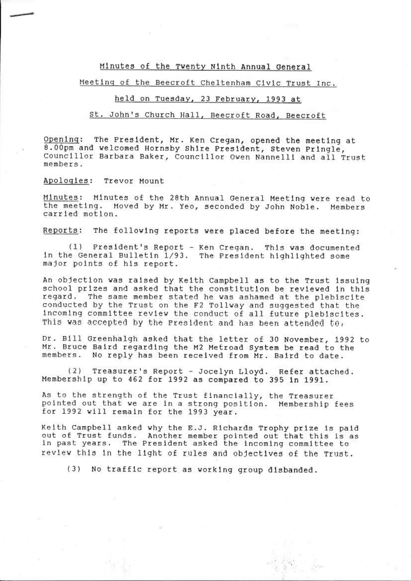## Minutes of the Twenty Ninth Annual General

# Meeting of the Beecroft Cheltenham Civic Trust Inc.

## held on Tuesday, 23 February, 1993 at

## St. John's Church Hall, Beecroft Road, Beecroft

The President, Mr. Ken Cregan, opened the meeting at Opening: 8.00pm and welcomed Hornsby Shire President, Steven Pringle. Councillor Barbara Baker, Councillor Owen Nannelli and all Trust members.

Apologies: Trevor Mount

Minutes: Minutes of the 28th Annual General Meeting were read to the meeting. Moved by Mr. Yeo, seconded by John Noble. Members carried motion.

Reports: The following reports were placed before the meeting:

President's Report - Ken Cregan. This was documented  $(1)$ in the General Bulletin 1/93. The President highlighted some major points of his report.

An objection was raised by Keith Campbell as to the Trust issuing school prizes and asked that the constitution be reviewed in this regard. The same member stated he was ashamed at the plebiscite conducted by the Trust on the F2 Tollway and suggested that the incoming committee review the conduct of all future plebiscites. This was accepted by the President and has been attended to.

Dr. Bill Greenhalgh asked that the letter of 30 November, 1992 to Mr. Bruce Baird regarding the M2 Metroad System be read to the members. No reply has been received from Mr. Baird to date.

 $(2)$ Treasurer's Report - Jocelyn Lloyd. Refer attached. Membership up to 462 for 1992 as compared to 395 in 1991.

As to the strength of the Trust financially, the Treasurer pointed out that we are in a strong position. Membership fees for 1992 will remain for the 1993 year.

Keith Campbell asked why the E.J. Richards Trophy prize is paid out of Trust funds. Another member pointed out that this is as in past years. The President asked the incoming committee to review this in the light of rules and objectives of the Trust.

(3) No traffic report as working group disbanded.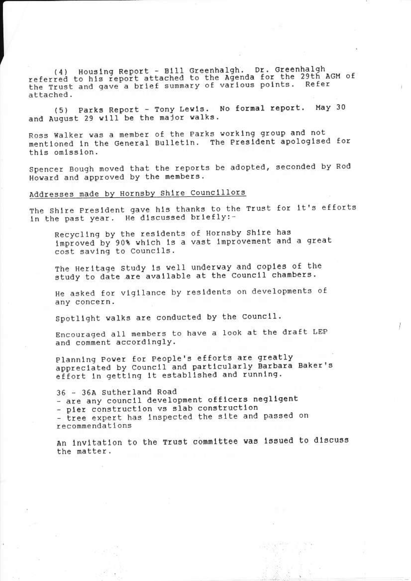(4) Housing Report - Bill Greenhalgh. Dr. Greenhalgh<br>referred to his report attached to the Agenda for the 29th AGM of the Trust and gave a brief summary of various points. Refer attached.

(5) Parks Report - Tony Lewis. No formal report. May 30 and August 29 will be the major walks.

Ross Walker was a member of the Parks working group and not mentioned in the General Bulletin. The President apologised for this omission.

Spencer Bough moved that the reports be adopted, seconded by Rod Howard and approved by the members.

# Addresses made by Hornsby Shire Councillors

The Shire President gave his thanks to the Trust for it's efforts in the past year. He discussed briefly:-

Recycling by the residents of Hornsby Shire has improved by 90% which is a vast improvement and a great cost saving to Councils.

The Heritage study is well underway and copies of the study to date are available at the Council chambers.

He asked for vigilance by residents on developments of any concern.

Spotlight walks are conducted by the Council.

Encouraged all members to have a look at the draft LEP and comment accordingly.

Planning Power for People's efforts are greatly appreciated by Council and particularly Barbara Baker's effort in getting it established and running.

36 - 36A Sutherland Road - are any council development officers negligent - pier construction vs slab construction - tree expert has inspected the site and passed on recommendations

An invitation to the Trust committee was issued to discuss the matter.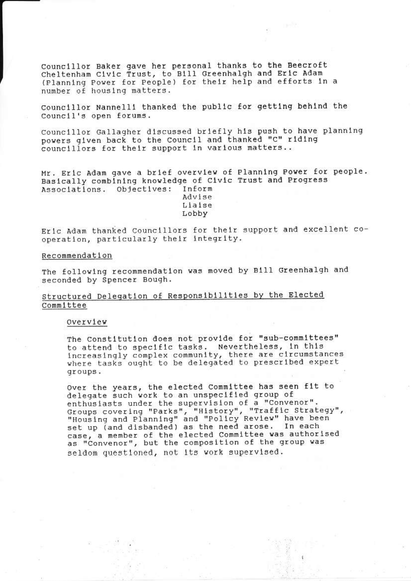Councillor Baker gave her personal thanks to the Beecroft<br>Cheltenham Civic Trust, to Bill Greenhalgh and Eric Adam (Planning Power for People) for their help and efforts in a number of housing matters.

Councillor Nannelli thanked the public for getting behind the Council's open forums.

Councillor Gallagher discussed briefly his push to have planning powers given back to the Council and thanked "C" riding councillors for their support in various matters..

Mr. Eric Adam gave a brief overview of Planning Power for people. Basically combining knowledge of Civic Trust and Progress Associations. Objectives: Inform Advise

Liaise Lobby

Eric Adam thanked Councillors for their support and excellent cooperation, particularly their integrity.

#### Recommendation

The following recommendation was moved by Bill Greenhalgh and seconded by Spencer Bough.

# Structured Delegation of Responsibilities by the Elected Committee

Overview

The Constitution does not provide for "sub-committees" to attend to specific tasks. Nevertheless, in this increasingly complex community, there are circumstances where tasks ought to be delegated to prescribed expert groups.

Over the years, the elected Committee has seen fit to delegate such work to an unspecified group of enthusiasts under the supervision of a "Convenor".<br>Groups covering "Parks", "History", "Traffic Strategy",<br>"Housing and Planning" and "Policy Review" have been<br>set up (and disbanded) as the need arose. In each<br>case, a memb as "Convenor", but the composition of the group was seldom questioned, not its work supervised.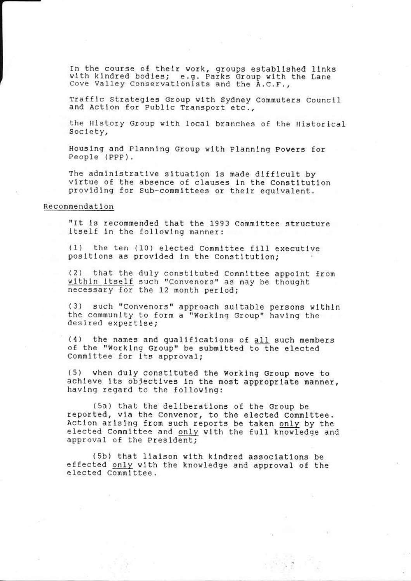In the course of their work, groups established links with kindred bodies; e.g. Parks Group with the Lane<br>Cove Valley Conservationists and the A.C.F.,

Traffic Strategies Group with Sydney Commuters Council and Action for Public Transport etc.,

the History Group with local branches of the Historical Society,

Housing and Planning Group with Planning Powers for People (PPP).

The administrative situation is made difficult by virtue of the absence of clauses in the Constitution providing for Sub-committees or their equivalent.

## Recommendation

"It is recommended that the 1993 Committee structure itself in the following manner:

 $(1)$ the ten (10) elected Committee fill executive positions as provided in the Constitution;

(2) that the duly constituted Committee appoint from within itself such "Convenors" as may be thought necessary for the 12 month period;

(3) such "Convenors" approach suitable persons within the community to form a "Working Group" having the desired expertise;

(4) the names and qualifications of all such members of the "Working Group" be submitted to the elected Committee for its approval;

(5) when duly constituted the Working Group move to achieve its objectives in the most appropriate manner, having regard to the following:

(5a) that the deliberations of the Group be reported, via the Convenor, to the elected Committee. Action arising from such reports be taken only by the elected Committee and only with the full knowledge and approval of the President;

(5b) that liaison with kindred associations be effected only with the knowledge and approval of the elected Committee.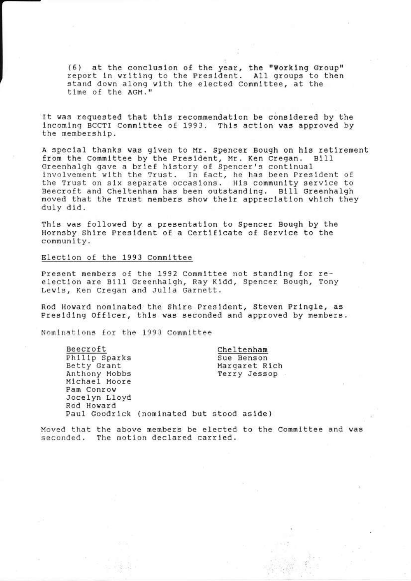(6) at the conclusion of the year, the "Working Group" report in writing to the President. All groups to then stand down along with the elected Committee, at the time of the AGM."

It was requested that this recommendation be considered by the incoming BCCTI Committee of 1993. This action was approved by the membership.

A special thanks was given to Mr. Spencer Bough on his retirement from the Committee by the President, Mr. Ken Cregan. Bill Greenhalgh gave a brief history of Spencer's continual<br>involvement with the Trust. In fact, he has been President of the Trust on six separate occasions. His community service to Beecroft and Cheltenham has been outstanding. Bill Greenhalgh moved that the Trust members show their appreciation which they duly did.

This was followed by a presentation to Spencer Bough by the Hornsby Shire President of a Certificate of Service to the community.

Election of the 1993 Committee

Present members of the 1992 Committee not standing for reelection are Bill Greenhalgh, Ray Kidd, Spencer Bough, Tony Lewis, Ken Cregan and Julia Garnett.

Rod Howard nominated the Shire President, Steven Pringle, as Presiding Officer, this was seconded and approved by members.

Nominations for the 1993 Committee

| Beecroft                                  |  |            | Cheltenham |               |
|-------------------------------------------|--|------------|------------|---------------|
| Philip Sparks                             |  | Sue Benson |            |               |
| Betty Grant                               |  |            |            | Margaret Rich |
| Anthony Mobbs                             |  |            |            | Terry Jessop  |
| Michael Moore                             |  |            |            |               |
| Pam Conrow                                |  |            |            |               |
| Jocelyn Lloyd                             |  |            |            |               |
| Rod Howard                                |  |            |            |               |
| Paul Goodrick (nominated but stood aside) |  |            |            |               |

Moved that the above members be elected to the Committee and was seconded. The motion declared carried.